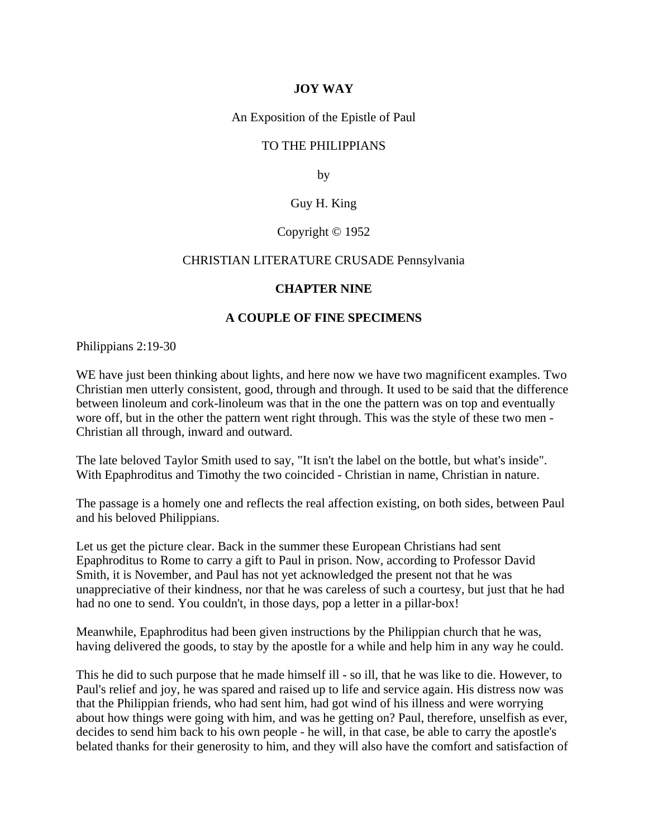# **JOY WAY**

An Exposition of the Epistle of Paul

## TO THE PHILIPPIANS

by

## Guy H. King

### Copyright © 1952

#### CHRISTIAN LITERATURE CRUSADE Pennsylvania

#### **CHAPTER NINE**

#### **A COUPLE OF FINE SPECIMENS**

Philippians 2:19-30

WE have just been thinking about lights, and here now we have two magnificent examples. Two Christian men utterly consistent, good, through and through. It used to be said that the difference between linoleum and cork-linoleum was that in the one the pattern was on top and eventually wore off, but in the other the pattern went right through. This was the style of these two men - Christian all through, inward and outward.

The late beloved Taylor Smith used to say, "It isn't the label on the bottle, but what's inside". With Epaphroditus and Timothy the two coincided - Christian in name, Christian in nature.

The passage is a homely one and reflects the real affection existing, on both sides, between Paul and his beloved Philippians.

Let us get the picture clear. Back in the summer these European Christians had sent Epaphroditus to Rome to carry a gift to Paul in prison. Now, according to Professor David Smith, it is November, and Paul has not yet acknowledged the present not that he was unappreciative of their kindness, nor that he was careless of such a courtesy, but just that he had had no one to send. You couldn't, in those days, pop a letter in a pillar-box!

Meanwhile, Epaphroditus had been given instructions by the Philippian church that he was, having delivered the goods, to stay by the apostle for a while and help him in any way he could.

This he did to such purpose that he made himself ill - so ill, that he was like to die. However, to Paul's relief and joy, he was spared and raised up to life and service again. His distress now was that the Philippian friends, who had sent him, had got wind of his illness and were worrying about how things were going with him, and was he getting on? Paul, therefore, unselfish as ever, decides to send him back to his own people - he will, in that case, be able to carry the apostle's belated thanks for their generosity to him, and they will also have the comfort and satisfaction of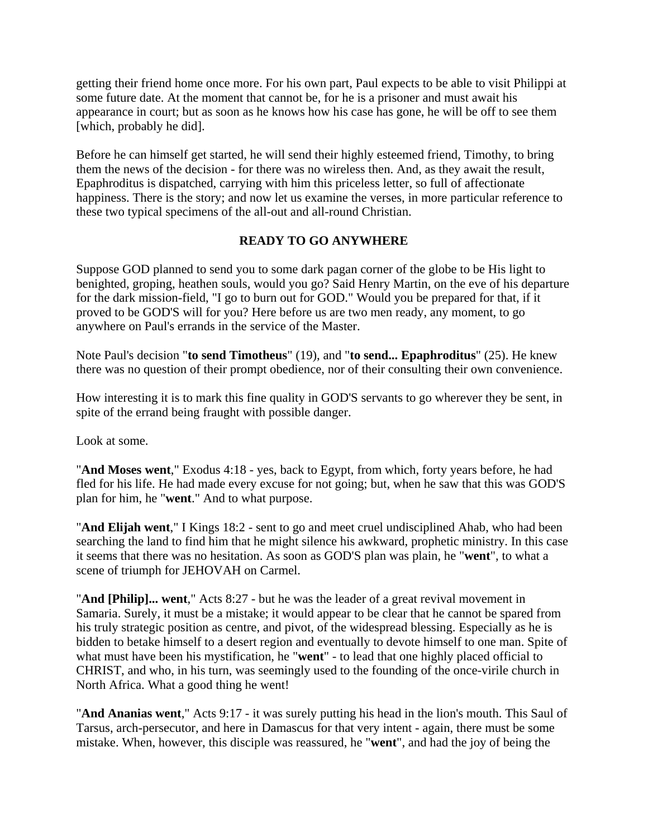getting their friend home once more. For his own part, Paul expects to be able to visit Philippi at some future date. At the moment that cannot be, for he is a prisoner and must await his appearance in court; but as soon as he knows how his case has gone, he will be off to see them [which, probably he did].

Before he can himself get started, he will send their highly esteemed friend, Timothy, to bring them the news of the decision - for there was no wireless then. And, as they await the result, Epaphroditus is dispatched, carrying with him this priceless letter, so full of affectionate happiness. There is the story; and now let us examine the verses, in more particular reference to these two typical specimens of the all-out and all-round Christian.

# **READY TO GO ANYWHERE**

Suppose GOD planned to send you to some dark pagan corner of the globe to be His light to benighted, groping, heathen souls, would you go? Said Henry Martin, on the eve of his departure for the dark mission-field, "I go to burn out for GOD." Would you be prepared for that, if it proved to be GOD'S will for you? Here before us are two men ready, any moment, to go anywhere on Paul's errands in the service of the Master.

Note Paul's decision "**to send Timotheus**" (19), and "**to send... Epaphroditus**" (25). He knew there was no question of their prompt obedience, nor of their consulting their own convenience.

How interesting it is to mark this fine quality in GOD'S servants to go wherever they be sent, in spite of the errand being fraught with possible danger.

Look at some.

"**And Moses went**," Exodus 4:18 - yes, back to Egypt, from which, forty years before, he had fled for his life. He had made every excuse for not going; but, when he saw that this was GOD'S plan for him, he "**went**." And to what purpose.

"**And Elijah went**," I Kings 18:2 - sent to go and meet cruel undisciplined Ahab, who had been searching the land to find him that he might silence his awkward, prophetic ministry. In this case it seems that there was no hesitation. As soon as GOD'S plan was plain, he "**went**", to what a scene of triumph for JEHOVAH on Carmel.

"**And [Philip]... went**," Acts 8:27 - but he was the leader of a great revival movement in Samaria. Surely, it must be a mistake; it would appear to be clear that he cannot be spared from his truly strategic position as centre, and pivot, of the widespread blessing. Especially as he is bidden to betake himself to a desert region and eventually to devote himself to one man. Spite of what must have been his mystification, he "**went**" - to lead that one highly placed official to CHRIST, and who, in his turn, was seemingly used to the founding of the once-virile church in North Africa. What a good thing he went!

"**And Ananias went**," Acts 9:17 - it was surely putting his head in the lion's mouth. This Saul of Tarsus, arch-persecutor, and here in Damascus for that very intent - again, there must be some mistake. When, however, this disciple was reassured, he "**went**", and had the joy of being the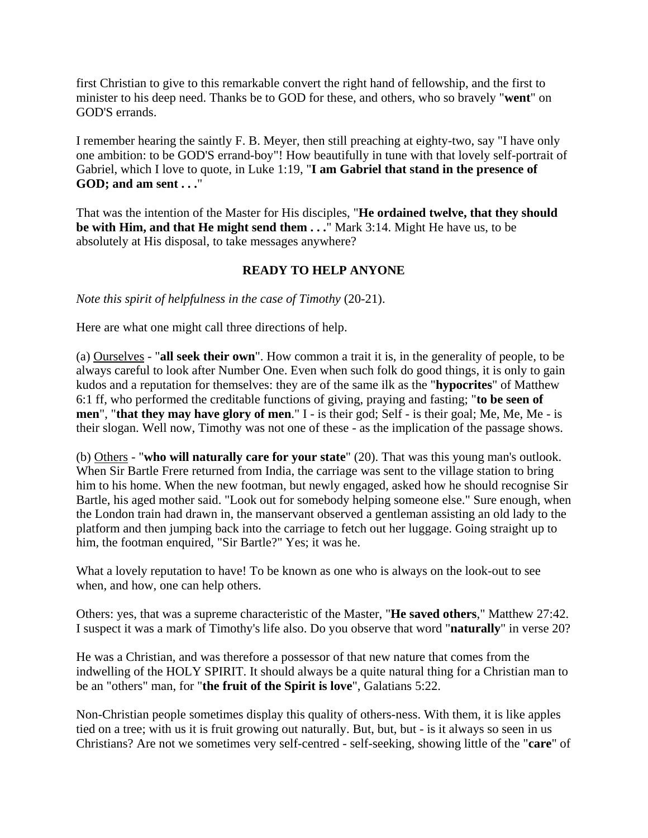first Christian to give to this remarkable convert the right hand of fellowship, and the first to minister to his deep need. Thanks be to GOD for these, and others, who so bravely "**went**" on GOD'S errands.

I remember hearing the saintly F. B. Meyer, then still preaching at eighty-two, say "I have only one ambition: to be GOD'S errand-boy"! How beautifully in tune with that lovely self-portrait of Gabriel, which I love to quote, in Luke 1:19, "**I am Gabriel that stand in the presence of GOD; and am sent . . .**"

That was the intention of the Master for His disciples, "**He ordained twelve, that they should be with Him, and that He might send them . . .**" Mark 3:14. Might He have us, to be absolutely at His disposal, to take messages anywhere?

# **READY TO HELP ANYONE**

*Note this spirit of helpfulness in the case of Timothy* (20-21).

Here are what one might call three directions of help.

(a) Ourselves - "**all seek their own**". How common a trait it is, in the generality of people, to be always careful to look after Number One. Even when such folk do good things, it is only to gain kudos and a reputation for themselves: they are of the same ilk as the "**hypocrites**" of Matthew 6:1 ff, who performed the creditable functions of giving, praying and fasting; "**to be seen of men**", "**that they may have glory of men**." I - is their god; Self - is their goal; Me, Me, Me - is their slogan. Well now, Timothy was not one of these - as the implication of the passage shows.

(b) Others - "**who will naturally care for your state**" (20). That was this young man's outlook. When Sir Bartle Frere returned from India, the carriage was sent to the village station to bring him to his home. When the new footman, but newly engaged, asked how he should recognise Sir Bartle, his aged mother said. "Look out for somebody helping someone else." Sure enough, when the London train had drawn in, the manservant observed a gentleman assisting an old lady to the platform and then jumping back into the carriage to fetch out her luggage. Going straight up to him, the footman enquired, "Sir Bartle?" Yes; it was he.

What a lovely reputation to have! To be known as one who is always on the look-out to see when, and how, one can help others.

Others: yes, that was a supreme characteristic of the Master, "**He saved others**," Matthew 27:42. I suspect it was a mark of Timothy's life also. Do you observe that word "**naturally**" in verse 20?

He was a Christian, and was therefore a possessor of that new nature that comes from the indwelling of the HOLY SPIRIT. It should always be a quite natural thing for a Christian man to be an "others" man, for "**the fruit of the Spirit is love**", Galatians 5:22.

Non-Christian people sometimes display this quality of others-ness. With them, it is like apples tied on a tree; with us it is fruit growing out naturally. But, but, but - is it always so seen in us Christians? Are not we sometimes very self-centred - self-seeking, showing little of the "**care**" of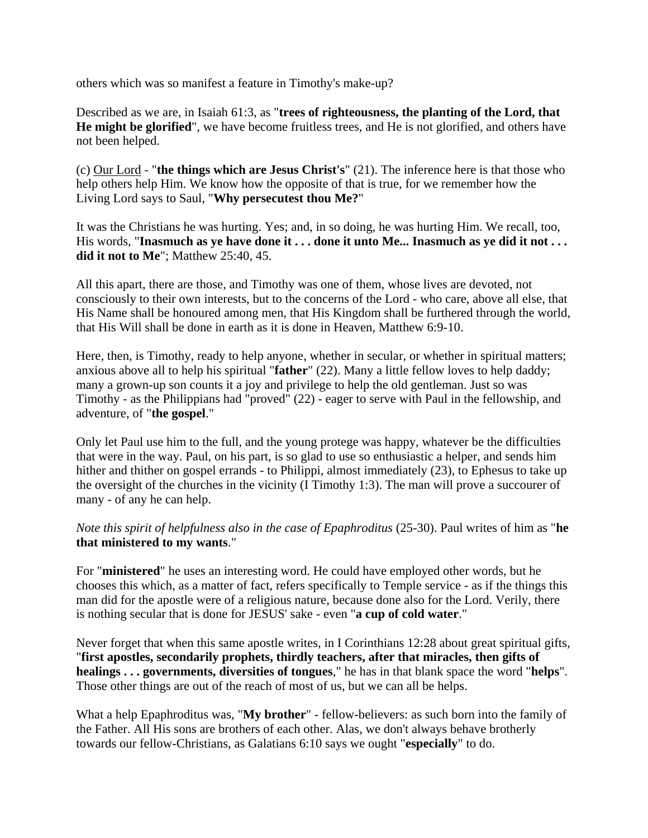others which was so manifest a feature in Timothy's make-up?

Described as we are, in Isaiah 61:3, as "**trees of righteousness, the planting of the Lord, that He might be glorified**", we have become fruitless trees, and He is not glorified, and others have not been helped.

(c) Our Lord - "**the things which are Jesus Christ's**" (21). The inference here is that those who help others help Him. We know how the opposite of that is true, for we remember how the Living Lord says to Saul, "**Why persecutest thou Me?**"

It was the Christians he was hurting. Yes; and, in so doing, he was hurting Him. We recall, too, His words, "Inasmuch as ye have done it . . . done it unto Me... Inasmuch as ye did it not . . . **did it not to Me**"; Matthew 25:40, 45.

All this apart, there are those, and Timothy was one of them, whose lives are devoted, not consciously to their own interests, but to the concerns of the Lord - who care, above all else, that His Name shall be honoured among men, that His Kingdom shall be furthered through the world, that His Will shall be done in earth as it is done in Heaven, Matthew 6:9-10.

Here, then, is Timothy, ready to help anyone, whether in secular, or whether in spiritual matters; anxious above all to help his spiritual "**father**" (22). Many a little fellow loves to help daddy; many a grown-up son counts it a joy and privilege to help the old gentleman. Just so was Timothy - as the Philippians had "proved" (22) - eager to serve with Paul in the fellowship, and adventure, of "**the gospel**."

Only let Paul use him to the full, and the young protege was happy, whatever be the difficulties that were in the way. Paul, on his part, is so glad to use so enthusiastic a helper, and sends him hither and thither on gospel errands - to Philippi, almost immediately (23), to Ephesus to take up the oversight of the churches in the vicinity (I Timothy 1:3). The man will prove a succourer of many - of any he can help.

*Note this spirit of helpfulness also in the case of Epaphroditus* (25-30). Paul writes of him as "**he that ministered to my wants**."

For "**ministered**" he uses an interesting word. He could have employed other words, but he chooses this which, as a matter of fact, refers specifically to Temple service - as if the things this man did for the apostle were of a religious nature, because done also for the Lord. Verily, there is nothing secular that is done for JESUS' sake - even "**a cup of cold water**."

Never forget that when this same apostle writes, in I Corinthians 12:28 about great spiritual gifts, "**first apostles, secondarily prophets, thirdly teachers, after that miracles, then gifts of healings . . . governments, diversities of tongues**," he has in that blank space the word "**helps**". Those other things are out of the reach of most of us, but we can all be helps.

What a help Epaphroditus was, "**My brother**" - fellow-believers: as such born into the family of the Father. All His sons are brothers of each other. Alas, we don't always behave brotherly towards our fellow-Christians, as Galatians 6:10 says we ought "**especially**" to do.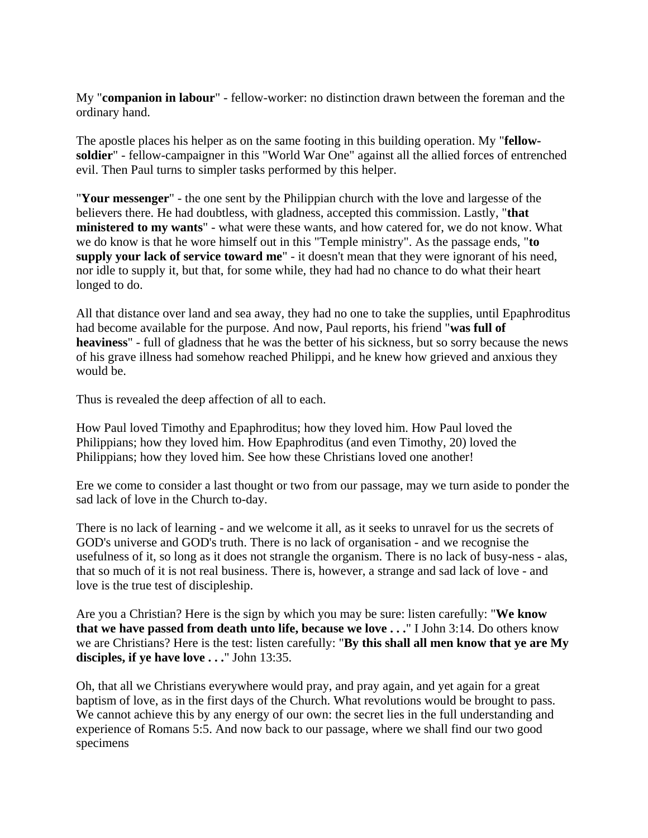My "**companion in labour**" - fellow-worker: no distinction drawn between the foreman and the ordinary hand.

The apostle places his helper as on the same footing in this building operation. My "**fellowsoldier**" - fellow-campaigner in this "World War One" against all the allied forces of entrenched evil. Then Paul turns to simpler tasks performed by this helper.

"**Your messenger**" - the one sent by the Philippian church with the love and largesse of the believers there. He had doubtless, with gladness, accepted this commission. Lastly, "**that ministered to my wants**" - what were these wants, and how catered for, we do not know. What we do know is that he wore himself out in this "Temple ministry". As the passage ends, "**to supply your lack of service toward me**" - it doesn't mean that they were ignorant of his need, nor idle to supply it, but that, for some while, they had had no chance to do what their heart longed to do.

All that distance over land and sea away, they had no one to take the supplies, until Epaphroditus had become available for the purpose. And now, Paul reports, his friend "**was full of heaviness**" - full of gladness that he was the better of his sickness, but so sorry because the news of his grave illness had somehow reached Philippi, and he knew how grieved and anxious they would be.

Thus is revealed the deep affection of all to each.

How Paul loved Timothy and Epaphroditus; how they loved him. How Paul loved the Philippians; how they loved him. How Epaphroditus (and even Timothy, 20) loved the Philippians; how they loved him. See how these Christians loved one another!

Ere we come to consider a last thought or two from our passage, may we turn aside to ponder the sad lack of love in the Church to-day.

There is no lack of learning - and we welcome it all, as it seeks to unravel for us the secrets of GOD's universe and GOD's truth. There is no lack of organisation - and we recognise the usefulness of it, so long as it does not strangle the organism. There is no lack of busy-ness - alas, that so much of it is not real business. There is, however, a strange and sad lack of love - and love is the true test of discipleship.

Are you a Christian? Here is the sign by which you may be sure: listen carefully: "**We know that we have passed from death unto life, because we love . . .**" I John 3:14. Do others know we are Christians? Here is the test: listen carefully: "**By this shall all men know that ye are My disciples, if ye have love . . .**" John 13:35.

Oh, that all we Christians everywhere would pray, and pray again, and yet again for a great baptism of love, as in the first days of the Church. What revolutions would be brought to pass. We cannot achieve this by any energy of our own: the secret lies in the full understanding and experience of Romans 5:5. And now back to our passage, where we shall find our two good specimens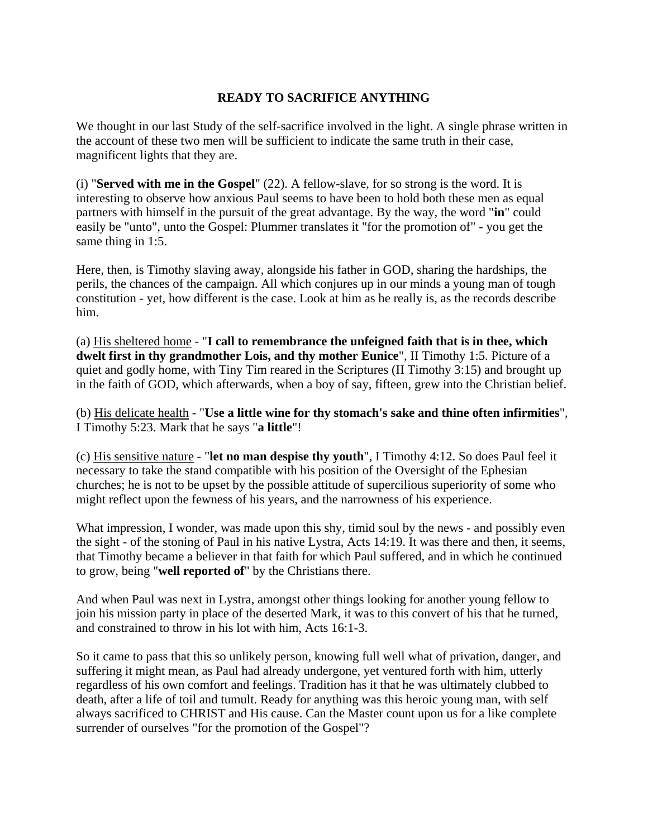# **READY TO SACRIFICE ANYTHING**

We thought in our last Study of the self-sacrifice involved in the light. A single phrase written in the account of these two men will be sufficient to indicate the same truth in their case, magnificent lights that they are.

(i) "**Served with me in the Gospel**" (22). A fellow-slave, for so strong is the word. It is interesting to observe how anxious Paul seems to have been to hold both these men as equal partners with himself in the pursuit of the great advantage. By the way, the word "**in**" could easily be "unto", unto the Gospel: Plummer translates it "for the promotion of" - you get the same thing in 1:5.

Here, then, is Timothy slaving away, alongside his father in GOD, sharing the hardships, the perils, the chances of the campaign. All which conjures up in our minds a young man of tough constitution - yet, how different is the case. Look at him as he really is, as the records describe him.

(a) His sheltered home - "**I call to remembrance the unfeigned faith that is in thee, which dwelt first in thy grandmother Lois, and thy mother Eunice**", II Timothy 1:5. Picture of a quiet and godly home, with Tiny Tim reared in the Scriptures (II Timothy 3:15) and brought up in the faith of GOD, which afterwards, when a boy of say, fifteen, grew into the Christian belief.

(b) His delicate health - "**Use a little wine for thy stomach's sake and thine often infirmities**", I Timothy 5:23. Mark that he says "**a little**"!

(c) His sensitive nature - "**let no man despise thy youth**", I Timothy 4:12. So does Paul feel it necessary to take the stand compatible with his position of the Oversight of the Ephesian churches; he is not to be upset by the possible attitude of supercilious superiority of some who might reflect upon the fewness of his years, and the narrowness of his experience.

What impression, I wonder, was made upon this shy, timid soul by the news - and possibly even the sight - of the stoning of Paul in his native Lystra, Acts 14:19. It was there and then, it seems, that Timothy became a believer in that faith for which Paul suffered, and in which he continued to grow, being "**well reported of**" by the Christians there.

And when Paul was next in Lystra, amongst other things looking for another young fellow to join his mission party in place of the deserted Mark, it was to this convert of his that he turned, and constrained to throw in his lot with him, Acts 16:1-3.

So it came to pass that this so unlikely person, knowing full well what of privation, danger, and suffering it might mean, as Paul had already undergone, yet ventured forth with him, utterly regardless of his own comfort and feelings. Tradition has it that he was ultimately clubbed to death, after a life of toil and tumult. Ready for anything was this heroic young man, with self always sacrificed to CHRIST and His cause. Can the Master count upon us for a like complete surrender of ourselves "for the promotion of the Gospel"?